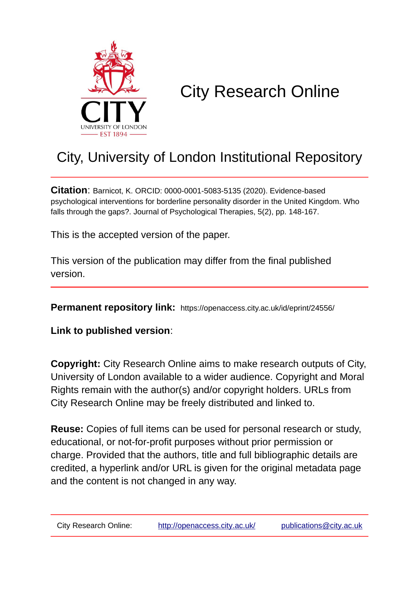

# City Research Online

## City, University of London Institutional Repository

**Citation**: Barnicot, K. ORCID: 0000-0001-5083-5135 (2020). Evidence-based psychological interventions for borderline personality disorder in the United Kingdom. Who falls through the gaps?. Journal of Psychological Therapies, 5(2), pp. 148-167.

This is the accepted version of the paper.

This version of the publication may differ from the final published version.

**Permanent repository link:** https://openaccess.city.ac.uk/id/eprint/24556/

**Link to published version**:

**Copyright:** City Research Online aims to make research outputs of City, University of London available to a wider audience. Copyright and Moral Rights remain with the author(s) and/or copyright holders. URLs from City Research Online may be freely distributed and linked to.

**Reuse:** Copies of full items can be used for personal research or study, educational, or not-for-profit purposes without prior permission or charge. Provided that the authors, title and full bibliographic details are credited, a hyperlink and/or URL is given for the original metadata page and the content is not changed in any way.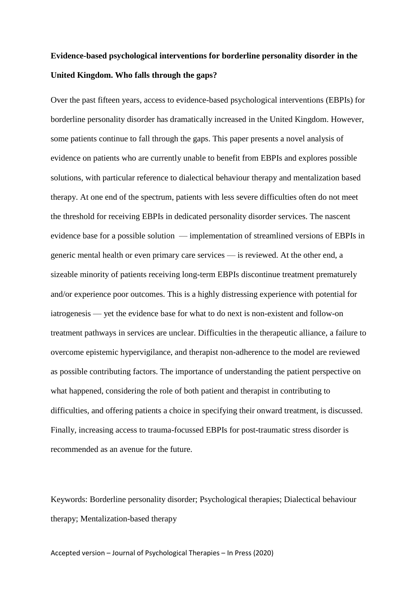### **Evidence-based psychological interventions for borderline personality disorder in the United Kingdom. Who falls through the gaps?**

Over the past fifteen years, access to evidence-based psychological interventions (EBPIs) for borderline personality disorder has dramatically increased in the United Kingdom. However, some patients continue to fall through the gaps. This paper presents a novel analysis of evidence on patients who are currently unable to benefit from EBPIs and explores possible solutions, with particular reference to dialectical behaviour therapy and mentalization based therapy. At one end of the spectrum, patients with less severe difficulties often do not meet the threshold for receiving EBPIs in dedicated personality disorder services. The nascent evidence base for a possible solution — implementation of streamlined versions of EBPIs in generic mental health or even primary care services — is reviewed. At the other end, a sizeable minority of patients receiving long-term EBPIs discontinue treatment prematurely and/or experience poor outcomes. This is a highly distressing experience with potential for iatrogenesis — yet the evidence base for what to do next is non-existent and follow-on treatment pathways in services are unclear. Difficulties in the therapeutic alliance, a failure to overcome epistemic hypervigilance, and therapist non-adherence to the model are reviewed as possible contributing factors. The importance of understanding the patient perspective on what happened, considering the role of both patient and therapist in contributing to difficulties, and offering patients a choice in specifying their onward treatment, is discussed. Finally, increasing access to trauma-focussed EBPIs for post-traumatic stress disorder is recommended as an avenue for the future.

Keywords: Borderline personality disorder; Psychological therapies; Dialectical behaviour therapy; Mentalization-based therapy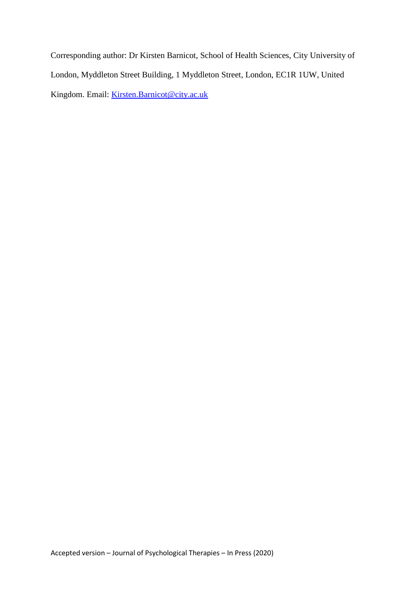Corresponding author: Dr Kirsten Barnicot, School of Health Sciences, City University of London, Myddleton Street Building, 1 Myddleton Street, London, EC1R 1UW, United Kingdom. Email: **Kirsten.Barnicot@city.ac.uk**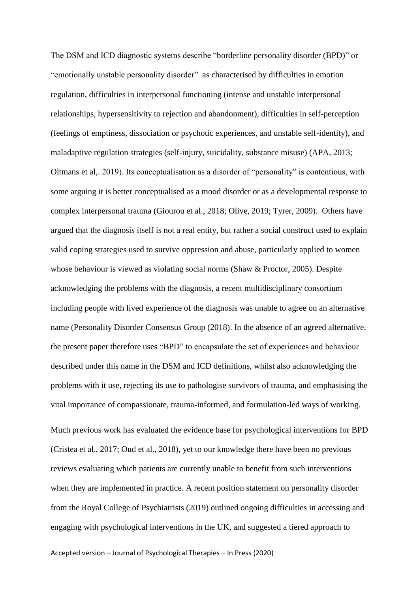The DSM and ICD diagnostic systems describe "borderline personality disorder (BPD)" or "emotionally unstable personality disorder" as characterised by difficulties in emotion regulation, difficulties in interpersonal functioning (intense and unstable interpersonal relationships, hypersensitivity to rejection and abandonment), difficulties in self-perception (feelings of emptiness, dissociation or psychotic experiences, and unstable self-identity), and maladaptive regulation strategies (self-injury, suicidality, substance misuse) (APA, 2013; Oltmans et al,. 2019). Its conceptualisation as a disorder of "personality" is contentious, with some arguing it is better conceptualised as a mood disorder or as a developmental response to complex interpersonal trauma (Giourou et al., 2018; Olive, 2019; Tyrer, 2009). Others have argued that the diagnosis itself is not a real entity, but rather a social construct used to explain valid coping strategies used to survive oppression and abuse, particularly applied to women whose behaviour is viewed as violating social norms (Shaw & Proctor, 2005). Despite acknowledging the problems with the diagnosis, a recent multidisciplinary consortium including people with lived experience of the diagnosis was unable to agree on an alternative name (Personality Disorder Consensus Group (2018). In the absence of an agreed alternative, the present paper therefore uses "BPD" to encapsulate the set of experiences and behaviour described under this name in the DSM and ICD definitions, whilst also acknowledging the problems with it use, rejecting its use to pathologise survivors of trauma, and emphasising the vital importance of compassionate, trauma-informed, and formulation-led ways of working.

Much previous work has evaluated the evidence base for psychological interventions for BPD (Cristea et al., 2017; Oud et al., 2018), yet to our knowledge there have been no previous reviews evaluating which patients are currently unable to benefit from such interventions when they are implemented in practice. A recent position statement on personality disorder from the Royal College of Psychiatrists (2019) outlined ongoing difficulties in accessing and engaging with psychological interventions in the UK, and suggested a tiered approach to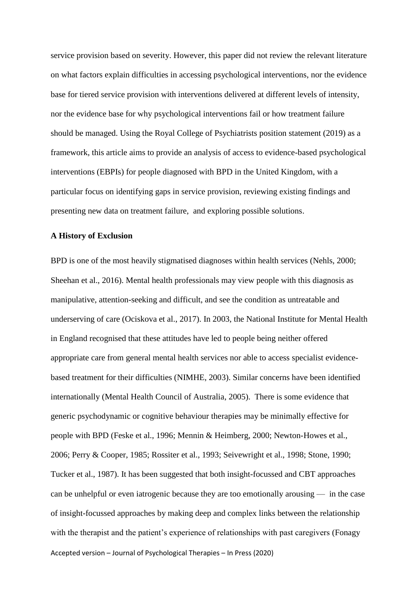service provision based on severity. However, this paper did not review the relevant literature on what factors explain difficulties in accessing psychological interventions, nor the evidence base for tiered service provision with interventions delivered at different levels of intensity, nor the evidence base for why psychological interventions fail or how treatment failure should be managed. Using the Royal College of Psychiatrists position statement (2019) as a framework, this article aims to provide an analysis of access to evidence-based psychological interventions (EBPIs) for people diagnosed with BPD in the United Kingdom, with a particular focus on identifying gaps in service provision, reviewing existing findings and presenting new data on treatment failure, and exploring possible solutions.

#### **A History of Exclusion**

Accepted version – Journal of Psychological Therapies – In Press (2020) BPD is one of the most heavily stigmatised diagnoses within health services (Nehls, 2000; Sheehan et al., 2016). Mental health professionals may view people with this diagnosis as manipulative, attention-seeking and difficult, and see the condition as untreatable and underserving of care (Ociskova et al., 2017). In 2003, the National Institute for Mental Health in England recognised that these attitudes have led to people being neither offered appropriate care from general mental health services nor able to access specialist evidencebased treatment for their difficulties (NIMHE, 2003). Similar concerns have been identified internationally (Mental Health Council of Australia, 2005). There is some evidence that generic psychodynamic or cognitive behaviour therapies may be minimally effective for people with BPD (Feske et al., 1996; Mennin & Heimberg, 2000; Newton-Howes et al., 2006; Perry & Cooper, 1985; Rossiter et al., 1993; Seivewright et al., 1998; Stone, 1990; Tucker et al., 1987). It has been suggested that both insight-focussed and CBT approaches can be unhelpful or even iatrogenic because they are too emotionally arousing — in the case of insight-focussed approaches by making deep and complex links between the relationship with the therapist and the patient's experience of relationships with past caregivers (Fonagy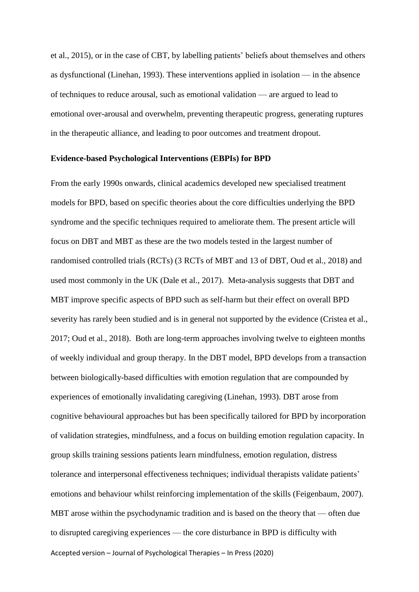et al., 2015), or in the case of CBT, by labelling patients' beliefs about themselves and others as dysfunctional (Linehan, 1993). These interventions applied in isolation — in the absence of techniques to reduce arousal, such as emotional validation — are argued to lead to emotional over-arousal and overwhelm, preventing therapeutic progress, generating ruptures in the therapeutic alliance, and leading to poor outcomes and treatment dropout.

#### **Evidence-based Psychological Interventions (EBPIs) for BPD**

Accepted version – Journal of Psychological Therapies – In Press (2020) From the early 1990s onwards, clinical academics developed new specialised treatment models for BPD, based on specific theories about the core difficulties underlying the BPD syndrome and the specific techniques required to ameliorate them. The present article will focus on DBT and MBT as these are the two models tested in the largest number of randomised controlled trials (RCTs) (3 RCTs of MBT and 13 of DBT, Oud et al., 2018) and used most commonly in the UK (Dale et al., 2017). Meta-analysis suggests that DBT and MBT improve specific aspects of BPD such as self-harm but their effect on overall BPD severity has rarely been studied and is in general not supported by the evidence (Cristea et al., 2017; Oud et al., 2018). Both are long-term approaches involving twelve to eighteen months of weekly individual and group therapy. In the DBT model, BPD develops from a transaction between biologically-based difficulties with emotion regulation that are compounded by experiences of emotionally invalidating caregiving (Linehan, 1993). DBT arose from cognitive behavioural approaches but has been specifically tailored for BPD by incorporation of validation strategies, mindfulness, and a focus on building emotion regulation capacity. In group skills training sessions patients learn mindfulness, emotion regulation, distress tolerance and interpersonal effectiveness techniques; individual therapists validate patients' emotions and behaviour whilst reinforcing implementation of the skills (Feigenbaum, 2007). MBT arose within the psychodynamic tradition and is based on the theory that — often due to disrupted caregiving experiences — the core disturbance in BPD is difficulty with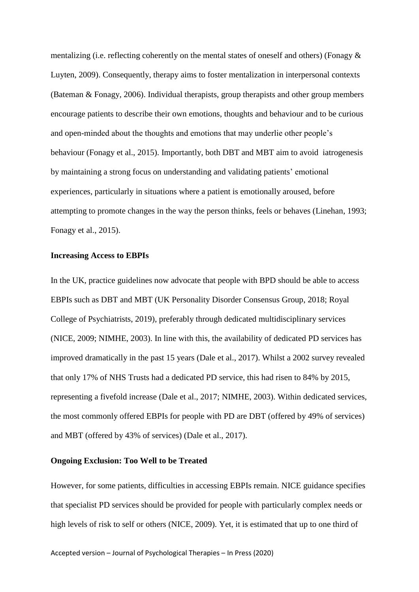mentalizing (i.e. reflecting coherently on the mental states of oneself and others) (Fonagy & Luyten, 2009). Consequently, therapy aims to foster mentalization in interpersonal contexts (Bateman & Fonagy, 2006). Individual therapists, group therapists and other group members encourage patients to describe their own emotions, thoughts and behaviour and to be curious and open-minded about the thoughts and emotions that may underlie other people's behaviour (Fonagy et al., 2015). Importantly, both DBT and MBT aim to avoid iatrogenesis by maintaining a strong focus on understanding and validating patients' emotional experiences, particularly in situations where a patient is emotionally aroused, before attempting to promote changes in the way the person thinks, feels or behaves (Linehan, 1993; Fonagy et al., 2015).

#### **Increasing Access to EBPIs**

In the UK, practice guidelines now advocate that people with BPD should be able to access EBPIs such as DBT and MBT (UK Personality Disorder Consensus Group, 2018; Royal College of Psychiatrists, 2019), preferably through dedicated multidisciplinary services (NICE, 2009; NIMHE, 2003). In line with this, the availability of dedicated PD services has improved dramatically in the past 15 years (Dale et al., 2017). Whilst a 2002 survey revealed that only 17% of NHS Trusts had a dedicated PD service, this had risen to 84% by 2015, representing a fivefold increase (Dale et al., 2017; NIMHE, 2003). Within dedicated services, the most commonly offered EBPIs for people with PD are DBT (offered by 49% of services) and MBT (offered by 43% of services) (Dale et al., 2017).

#### **Ongoing Exclusion: Too Well to be Treated**

However, for some patients, difficulties in accessing EBPIs remain. NICE guidance specifies that specialist PD services should be provided for people with particularly complex needs or high levels of risk to self or others (NICE, 2009). Yet, it is estimated that up to one third of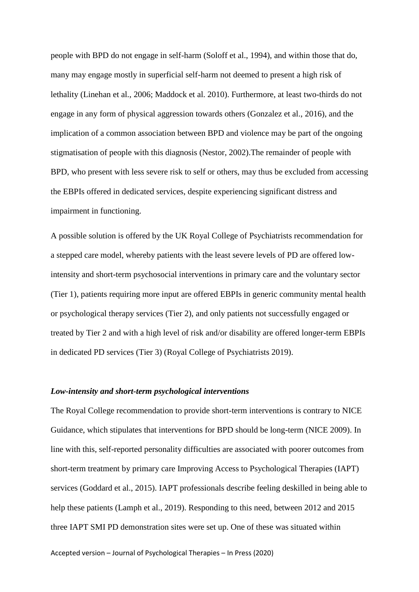people with BPD do not engage in self-harm (Soloff et al., 1994), and within those that do, many may engage mostly in superficial self-harm not deemed to present a high risk of lethality (Linehan et al., 2006; Maddock et al. 2010). Furthermore, at least two-thirds do not engage in any form of physical aggression towards others (Gonzalez et al., 2016), and the implication of a common association between BPD and violence may be part of the ongoing stigmatisation of people with this diagnosis (Nestor, 2002).The remainder of people with BPD, who present with less severe risk to self or others, may thus be excluded from accessing the EBPIs offered in dedicated services, despite experiencing significant distress and impairment in functioning.

A possible solution is offered by the UK Royal College of Psychiatrists recommendation for a stepped care model, whereby patients with the least severe levels of PD are offered lowintensity and short-term psychosocial interventions in primary care and the voluntary sector (Tier 1), patients requiring more input are offered EBPIs in generic community mental health or psychological therapy services (Tier 2), and only patients not successfully engaged or treated by Tier 2 and with a high level of risk and/or disability are offered longer-term EBPIs in dedicated PD services (Tier 3) (Royal College of Psychiatrists 2019).

#### *Low-intensity and short-term psychological interventions*

The Royal College recommendation to provide short-term interventions is contrary to NICE Guidance, which stipulates that interventions for BPD should be long-term (NICE 2009). In line with this, self-reported personality difficulties are associated with poorer outcomes from short-term treatment by primary care Improving Access to Psychological Therapies (IAPT) services (Goddard et al., 2015). IAPT professionals describe feeling deskilled in being able to help these patients (Lamph et al., 2019). Responding to this need, between 2012 and 2015 three IAPT SMI PD demonstration sites were set up. One of these was situated within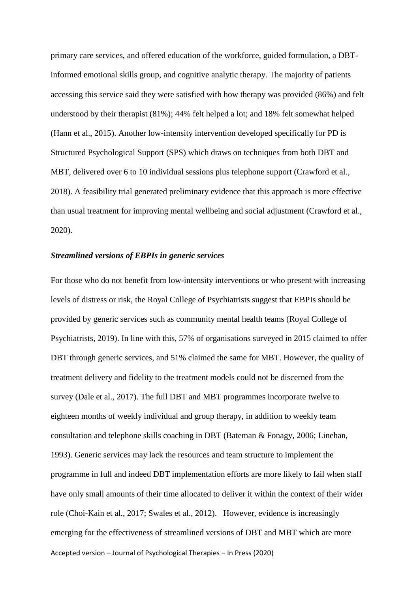primary care services, and offered education of the workforce, guided formulation, a DBTinformed emotional skills group, and cognitive analytic therapy. The majority of patients accessing this service said they were satisfied with how therapy was provided (86%) and felt understood by their therapist (81%); 44% felt helped a lot; and 18% felt somewhat helped (Hann et al., 2015). Another low-intensity intervention developed specifically for PD is Structured Psychological Support (SPS) which draws on techniques from both DBT and MBT, delivered over 6 to 10 individual sessions plus telephone support (Crawford et al., 2018). A feasibility trial generated preliminary evidence that this approach is more effective than usual treatment for improving mental wellbeing and social adjustment (Crawford et al., 2020).

#### *Streamlined versions of EBPIs in generic services*

Accepted version – Journal of Psychological Therapies – In Press (2020) For those who do not benefit from low-intensity interventions or who present with increasing levels of distress or risk, the Royal College of Psychiatrists suggest that EBPIs should be provided by generic services such as community mental health teams (Royal College of Psychiatrists, 2019). In line with this, 57% of organisations surveyed in 2015 claimed to offer DBT through generic services, and 51% claimed the same for MBT. However, the quality of treatment delivery and fidelity to the treatment models could not be discerned from the survey (Dale et al., 2017). The full DBT and MBT programmes incorporate twelve to eighteen months of weekly individual and group therapy, in addition to weekly team consultation and telephone skills coaching in DBT (Bateman & Fonagy, 2006; Linehan, 1993). Generic services may lack the resources and team structure to implement the programme in full and indeed DBT implementation efforts are more likely to fail when staff have only small amounts of their time allocated to deliver it within the context of their wider role (Choi-Kain et al., 2017; Swales et al., 2012). However, evidence is increasingly emerging for the effectiveness of streamlined versions of DBT and MBT which are more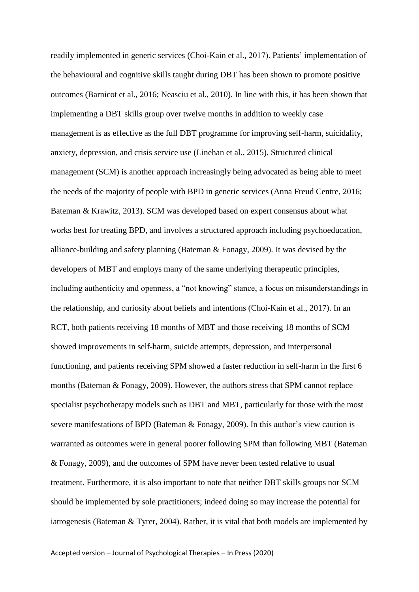readily implemented in generic services (Choi-Kain et al., 2017). Patients' implementation of the behavioural and cognitive skills taught during DBT has been shown to promote positive outcomes (Barnicot et al., 2016; Neasciu et al., 2010). In line with this, it has been shown that implementing a DBT skills group over twelve months in addition to weekly case management is as effective as the full DBT programme for improving self-harm, suicidality, anxiety, depression, and crisis service use (Linehan et al., 2015). Structured clinical management (SCM) is another approach increasingly being advocated as being able to meet the needs of the majority of people with BPD in generic services (Anna Freud Centre, 2016; Bateman & Krawitz, 2013). SCM was developed based on expert consensus about what works best for treating BPD, and involves a structured approach including psychoeducation, alliance-building and safety planning (Bateman & Fonagy, 2009). It was devised by the developers of MBT and employs many of the same underlying therapeutic principles, including authenticity and openness, a "not knowing" stance, a focus on misunderstandings in the relationship, and curiosity about beliefs and intentions (Choi-Kain et al., 2017). In an RCT, both patients receiving 18 months of MBT and those receiving 18 months of SCM showed improvements in self-harm, suicide attempts, depression, and interpersonal functioning, and patients receiving SPM showed a faster reduction in self-harm in the first 6 months (Bateman & Fonagy, 2009). However, the authors stress that SPM cannot replace specialist psychotherapy models such as DBT and MBT, particularly for those with the most severe manifestations of BPD (Bateman & Fonagy, 2009). In this author's view caution is warranted as outcomes were in general poorer following SPM than following MBT (Bateman & Fonagy, 2009), and the outcomes of SPM have never been tested relative to usual treatment. Furthermore, it is also important to note that neither DBT skills groups nor SCM should be implemented by sole practitioners; indeed doing so may increase the potential for iatrogenesis (Bateman & Tyrer, 2004). Rather, it is vital that both models are implemented by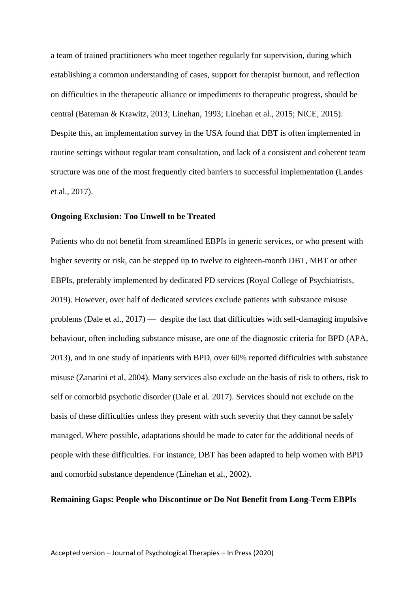a team of trained practitioners who meet together regularly for supervision, during which establishing a common understanding of cases, support for therapist burnout, and reflection on difficulties in the therapeutic alliance or impediments to therapeutic progress, should be central (Bateman & Krawitz, 2013; Linehan, 1993; Linehan et al., 2015; NICE, 2015). Despite this, an implementation survey in the USA found that DBT is often implemented in routine settings without regular team consultation, and lack of a consistent and coherent team structure was one of the most frequently cited barriers to successful implementation (Landes et al., 2017).

#### **Ongoing Exclusion: Too Unwell to be Treated**

Patients who do not benefit from streamlined EBPIs in generic services, or who present with higher severity or risk, can be stepped up to twelve to eighteen-month DBT, MBT or other EBPIs, preferably implemented by dedicated PD services (Royal College of Psychiatrists, 2019). However, over half of dedicated services exclude patients with substance misuse problems (Dale et al., 2017) — despite the fact that difficulties with self-damaging impulsive behaviour, often including substance misuse, are one of the diagnostic criteria for BPD (APA, 2013), and in one study of inpatients with BPD, over 60% reported difficulties with substance misuse (Zanarini et al, 2004). Many services also exclude on the basis of risk to others, risk to self or comorbid psychotic disorder (Dale et al. 2017). Services should not exclude on the basis of these difficulties unless they present with such severity that they cannot be safely managed. Where possible, adaptations should be made to cater for the additional needs of people with these difficulties. For instance, DBT has been adapted to help women with BPD and comorbid substance dependence (Linehan et al., 2002).

#### **Remaining Gaps: People who Discontinue or Do Not Benefit from Long-Term EBPIs**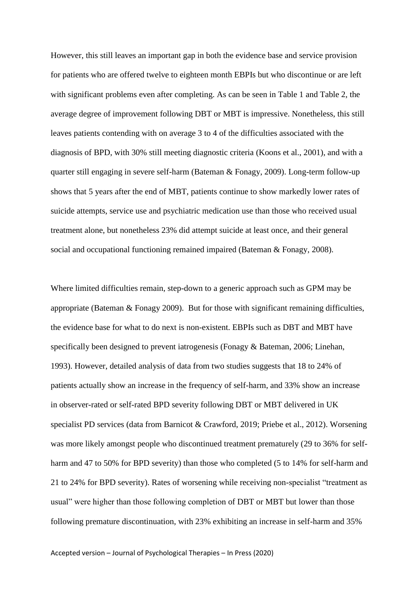However, this still leaves an important gap in both the evidence base and service provision for patients who are offered twelve to eighteen month EBPIs but who discontinue or are left with significant problems even after completing. As can be seen in Table 1 and Table 2, the average degree of improvement following DBT or MBT is impressive. Nonetheless, this still leaves patients contending with on average 3 to 4 of the difficulties associated with the diagnosis of BPD, with 30% still meeting diagnostic criteria (Koons et al., 2001), and with a quarter still engaging in severe self-harm (Bateman & Fonagy, 2009). Long-term follow-up shows that 5 years after the end of MBT, patients continue to show markedly lower rates of suicide attempts, service use and psychiatric medication use than those who received usual treatment alone, but nonetheless 23% did attempt suicide at least once, and their general social and occupational functioning remained impaired (Bateman & Fonagy, 2008).

Where limited difficulties remain, step-down to a generic approach such as GPM may be appropriate (Bateman & Fonagy 2009). But for those with significant remaining difficulties, the evidence base for what to do next is non-existent. EBPIs such as DBT and MBT have specifically been designed to prevent iatrogenesis (Fonagy & Bateman, 2006; Linehan, 1993). However, detailed analysis of data from two studies suggests that 18 to 24% of patients actually show an increase in the frequency of self-harm, and 33% show an increase in observer-rated or self-rated BPD severity following DBT or MBT delivered in UK specialist PD services (data from Barnicot & Crawford, 2019; Priebe et al., 2012). Worsening was more likely amongst people who discontinued treatment prematurely (29 to 36% for selfharm and 47 to 50% for BPD severity) than those who completed (5 to 14% for self-harm and 21 to 24% for BPD severity). Rates of worsening while receiving non-specialist "treatment as usual" were higher than those following completion of DBT or MBT but lower than those following premature discontinuation, with 23% exhibiting an increase in self-harm and 35%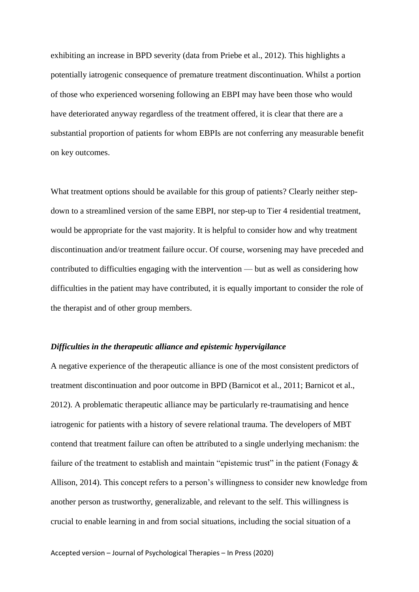exhibiting an increase in BPD severity (data from Priebe et al., 2012). This highlights a potentially iatrogenic consequence of premature treatment discontinuation. Whilst a portion of those who experienced worsening following an EBPI may have been those who would have deteriorated anyway regardless of the treatment offered, it is clear that there are a substantial proportion of patients for whom EBPIs are not conferring any measurable benefit on key outcomes.

What treatment options should be available for this group of patients? Clearly neither stepdown to a streamlined version of the same EBPI, nor step-up to Tier 4 residential treatment, would be appropriate for the vast majority. It is helpful to consider how and why treatment discontinuation and/or treatment failure occur. Of course, worsening may have preceded and contributed to difficulties engaging with the intervention — but as well as considering how difficulties in the patient may have contributed, it is equally important to consider the role of the therapist and of other group members.

#### *Difficulties in the therapeutic alliance and epistemic hypervigilance*

A negative experience of the therapeutic alliance is one of the most consistent predictors of treatment discontinuation and poor outcome in BPD (Barnicot et al., 2011; Barnicot et al., 2012). A problematic therapeutic alliance may be particularly re-traumatising and hence iatrogenic for patients with a history of severe relational trauma. The developers of MBT contend that treatment failure can often be attributed to a single underlying mechanism: the failure of the treatment to establish and maintain "epistemic trust" in the patient (Fonagy  $\&$ Allison, 2014). This concept refers to a person's willingness to consider new knowledge from another person as trustworthy, generalizable, and relevant to the self. This willingness is crucial to enable learning in and from social situations, including the social situation of a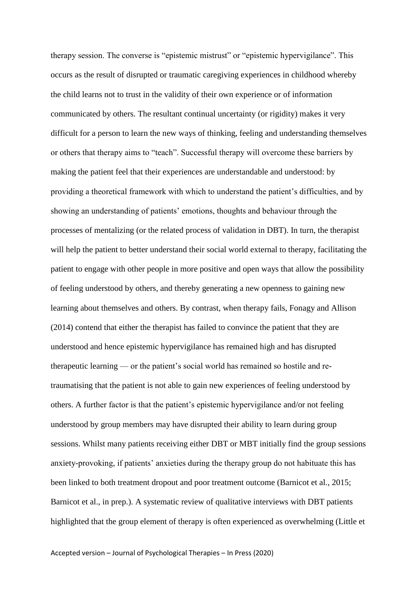therapy session. The converse is "epistemic mistrust" or "epistemic hypervigilance". This occurs as the result of disrupted or traumatic caregiving experiences in childhood whereby the child learns not to trust in the validity of their own experience or of information communicated by others. The resultant continual uncertainty (or rigidity) makes it very difficult for a person to learn the new ways of thinking, feeling and understanding themselves or others that therapy aims to "teach". Successful therapy will overcome these barriers by making the patient feel that their experiences are understandable and understood: by providing a theoretical framework with which to understand the patient's difficulties, and by showing an understanding of patients' emotions, thoughts and behaviour through the processes of mentalizing (or the related process of validation in DBT). In turn, the therapist will help the patient to better understand their social world external to therapy, facilitating the patient to engage with other people in more positive and open ways that allow the possibility of feeling understood by others, and thereby generating a new openness to gaining new learning about themselves and others. By contrast, when therapy fails, Fonagy and Allison (2014) contend that either the therapist has failed to convince the patient that they are understood and hence epistemic hypervigilance has remained high and has disrupted therapeutic learning — or the patient's social world has remained so hostile and retraumatising that the patient is not able to gain new experiences of feeling understood by others. A further factor is that the patient's epistemic hypervigilance and/or not feeling understood by group members may have disrupted their ability to learn during group sessions. Whilst many patients receiving either DBT or MBT initially find the group sessions anxiety-provoking, if patients' anxieties during the therapy group do not habituate this has been linked to both treatment dropout and poor treatment outcome (Barnicot et al., 2015; Barnicot et al., in prep.). A systematic review of qualitative interviews with DBT patients highlighted that the group element of therapy is often experienced as overwhelming (Little et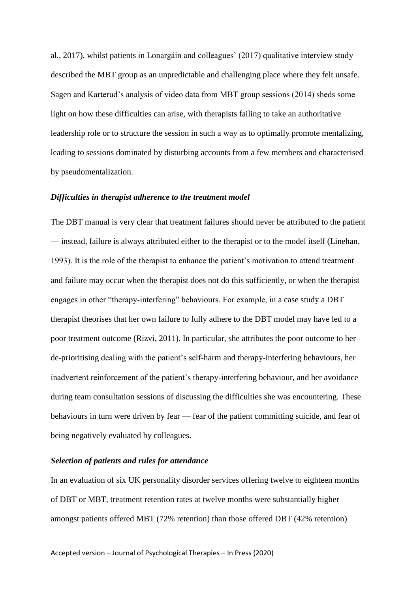al., 2017), whilst patients in Lonargáin and colleagues' (2017) qualitative interview study described the MBT group as an unpredictable and challenging place where they felt unsafe. Sagen and Karterud's analysis of video data from MBT group sessions (2014) sheds some light on how these difficulties can arise, with therapists failing to take an authoritative leadership role or to structure the session in such a way as to optimally promote mentalizing, leading to sessions dominated by disturbing accounts from a few members and characterised by pseudomentalization.

#### *Difficulties in therapist adherence to the treatment model*

The DBT manual is very clear that treatment failures should never be attributed to the patient — instead, failure is always attributed either to the therapist or to the model itself (Linehan, 1993). It is the role of the therapist to enhance the patient's motivation to attend treatment and failure may occur when the therapist does not do this sufficiently, or when the therapist engages in other "therapy-interfering" behaviours. For example, in a case study a DBT therapist theorises that her own failure to fully adhere to the DBT model may have led to a poor treatment outcome (Rizvi, 2011). In particular, she attributes the poor outcome to her de-prioritising dealing with the patient's self-harm and therapy-interfering behaviours, her inadvertent reinforcement of the patient's therapy-interfering behaviour, and her avoidance during team consultation sessions of discussing the difficulties she was encountering. These behaviours in turn were driven by fear — fear of the patient committing suicide, and fear of being negatively evaluated by colleagues.

#### *Selection of patients and rules for attendance*

In an evaluation of six UK personality disorder services offering twelve to eighteen months of DBT or MBT, treatment retention rates at twelve months were substantially higher amongst patients offered MBT (72% retention) than those offered DBT (42% retention)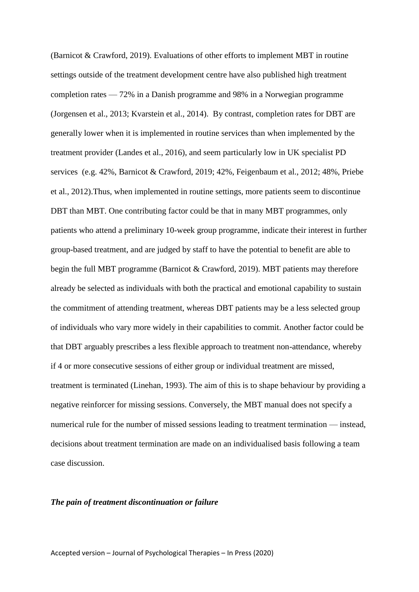(Barnicot & Crawford, 2019). Evaluations of other efforts to implement MBT in routine settings outside of the treatment development centre have also published high treatment completion rates — 72% in a Danish programme and 98% in a Norwegian programme (Jorgensen et al., 2013; Kvarstein et al., 2014). By contrast, completion rates for DBT are generally lower when it is implemented in routine services than when implemented by the treatment provider (Landes et al., 2016), and seem particularly low in UK specialist PD services (e.g. 42%, Barnicot & Crawford, 2019; 42%, Feigenbaum et al., 2012; 48%, Priebe et al., 2012).Thus, when implemented in routine settings, more patients seem to discontinue DBT than MBT. One contributing factor could be that in many MBT programmes, only patients who attend a preliminary 10-week group programme, indicate their interest in further group-based treatment, and are judged by staff to have the potential to benefit are able to begin the full MBT programme (Barnicot & Crawford, 2019). MBT patients may therefore already be selected as individuals with both the practical and emotional capability to sustain the commitment of attending treatment, whereas DBT patients may be a less selected group of individuals who vary more widely in their capabilities to commit. Another factor could be that DBT arguably prescribes a less flexible approach to treatment non-attendance, whereby if 4 or more consecutive sessions of either group or individual treatment are missed, treatment is terminated (Linehan, 1993). The aim of this is to shape behaviour by providing a negative reinforcer for missing sessions. Conversely, the MBT manual does not specify a numerical rule for the number of missed sessions leading to treatment termination — instead, decisions about treatment termination are made on an individualised basis following a team case discussion.

#### *The pain of treatment discontinuation or failure*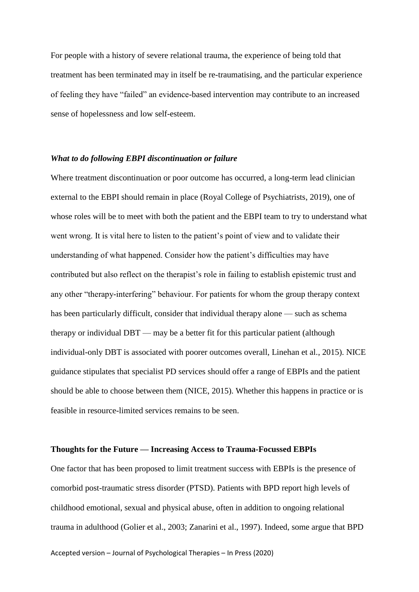For people with a history of severe relational trauma, the experience of being told that treatment has been terminated may in itself be re-traumatising, and the particular experience of feeling they have "failed" an evidence-based intervention may contribute to an increased sense of hopelessness and low self-esteem.

#### *What to do following EBPI discontinuation or failure*

Where treatment discontinuation or poor outcome has occurred, a long-term lead clinician external to the EBPI should remain in place (Royal College of Psychiatrists, 2019), one of whose roles will be to meet with both the patient and the EBPI team to try to understand what went wrong. It is vital here to listen to the patient's point of view and to validate their understanding of what happened. Consider how the patient's difficulties may have contributed but also reflect on the therapist's role in failing to establish epistemic trust and any other "therapy-interfering" behaviour. For patients for whom the group therapy context has been particularly difficult, consider that individual therapy alone — such as schema therapy or individual DBT — may be a better fit for this particular patient (although individual-only DBT is associated with poorer outcomes overall, Linehan et al., 2015). NICE guidance stipulates that specialist PD services should offer a range of EBPIs and the patient should be able to choose between them (NICE, 2015). Whether this happens in practice or is feasible in resource-limited services remains to be seen.

#### **Thoughts for the Future — Increasing Access to Trauma-Focussed EBPIs**

One factor that has been proposed to limit treatment success with EBPIs is the presence of comorbid post-traumatic stress disorder (PTSD). Patients with BPD report high levels of childhood emotional, sexual and physical abuse, often in addition to ongoing relational trauma in adulthood (Golier et al., 2003; Zanarini et al., 1997). Indeed, some argue that BPD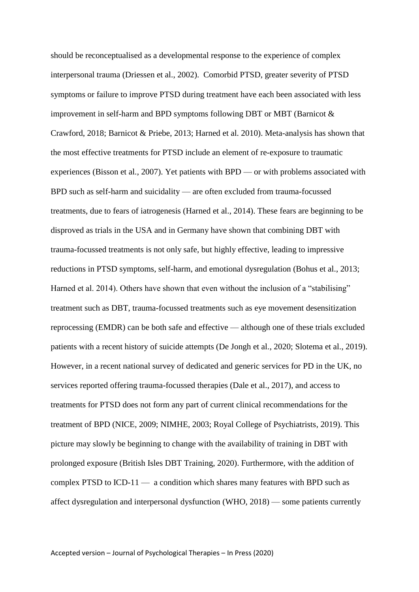should be reconceptualised as a developmental response to the experience of complex interpersonal trauma (Driessen et al., 2002). Comorbid PTSD, greater severity of PTSD symptoms or failure to improve PTSD during treatment have each been associated with less improvement in self-harm and BPD symptoms following DBT or MBT (Barnicot  $\&$ Crawford, 2018; Barnicot & Priebe, 2013; Harned et al. 2010). Meta-analysis has shown that the most effective treatments for PTSD include an element of re-exposure to traumatic experiences (Bisson et al., 2007). Yet patients with BPD — or with problems associated with BPD such as self-harm and suicidality — are often excluded from trauma-focussed treatments, due to fears of iatrogenesis (Harned et al., 2014). These fears are beginning to be disproved as trials in the USA and in Germany have shown that combining DBT with trauma-focussed treatments is not only safe, but highly effective, leading to impressive reductions in PTSD symptoms, self-harm, and emotional dysregulation (Bohus et al., 2013; Harned et al. 2014). Others have shown that even without the inclusion of a "stabilising" treatment such as DBT, trauma-focussed treatments such as eye movement desensitization reprocessing (EMDR) can be both safe and effective — although one of these trials excluded patients with a recent history of suicide attempts (De Jongh et al., 2020; Slotema et al., 2019). However, in a recent national survey of dedicated and generic services for PD in the UK, no services reported offering trauma-focussed therapies (Dale et al., 2017), and access to treatments for PTSD does not form any part of current clinical recommendations for the treatment of BPD (NICE, 2009; NIMHE, 2003; Royal College of Psychiatrists, 2019). This picture may slowly be beginning to change with the availability of training in DBT with prolonged exposure (British Isles DBT Training, 2020). Furthermore, with the addition of complex PTSD to ICD-11 — a condition which shares many features with BPD such as affect dysregulation and interpersonal dysfunction (WHO, 2018) — some patients currently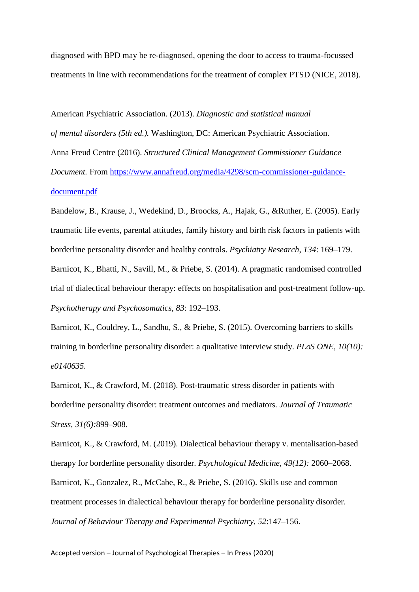diagnosed with BPD may be re-diagnosed, opening the door to access to trauma-focussed treatments in line with recommendations for the treatment of complex PTSD (NICE, 2018).

American Psychiatric Association. (2013). *Diagnostic and statistical manual of mental disorders (5th ed.).* Washington, DC: American Psychiatric Association. Anna Freud Centre (2016). *Structured Clinical Management Commissioner Guidance Document.* From [https://www.annafreud.org/media/4298/scm-commissioner-guidance](https://www.annafreud.org/media/4298/scm-commissioner-guidance-document.pdf)[document.pdf](https://www.annafreud.org/media/4298/scm-commissioner-guidance-document.pdf)

Bandelow, B., Krause, J., Wedekind, D., Broocks, A., Hajak, G., &Ruther, E. (2005). Early traumatic life events, parental attitudes, family history and birth risk factors in patients with borderline personality disorder and healthy controls. *Psychiatry Research*, *134*: 169–179.

Barnicot, K., Bhatti, N., Savill, M., & Priebe, S. (2014). A pragmatic randomised controlled trial of dialectical behaviour therapy: effects on hospitalisation and post-treatment follow-up. *Psychotherapy and Psychosomatics*, *83*: 192–193.

Barnicot, K., Couldrey, L., Sandhu, S., & Priebe, S. (2015). Overcoming barriers to skills training in borderline personality disorder: a qualitative interview study. *PLoS ONE, 10(10): e0140635.* 

Barnicot, K., & Crawford, M. (2018). Post-traumatic stress disorder in patients with borderline personality disorder: treatment outcomes and mediators. *Journal of Traumatic Stress*, *31(6):*899–908.

Barnicot, K., & Crawford, M. (2019). Dialectical behaviour therapy v. mentalisation-based therapy for borderline personality disorder. *Psychological Medicine*, *49(12):* 2060–2068. Barnicot, K., Gonzalez, R., McCabe, R., & Priebe, S. (2016). Skills use and common treatment processes in dialectical behaviour therapy for borderline personality disorder*. Journal of Behaviour Therapy and Experimental Psychiatry, 52*:147–156.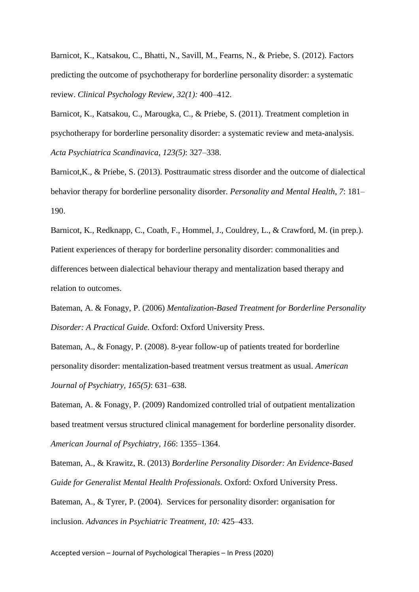Barnicot, K., Katsakou, C., Bhatti, N., Savill, M., Fearns, N., & Priebe, S. (2012). Factors predicting the outcome of psychotherapy for borderline personality disorder: a systematic review. *Clinical Psychology Review, 32(1):* 400–412.

Barnicot, K., Katsakou, C., Marougka, C., & Priebe, S. (2011). Treatment completion in psychotherapy for borderline personality disorder: a systematic review and meta-analysis. *Acta Psychiatrica Scandinavica, 123(5)*: 327–338.

Barnicot,K., & Priebe, S. (2013). Posttraumatic stress disorder and the outcome of dialectical behavior therapy for borderline personality disorder. *Personality and Mental Health*, *7*: 181– 190.

Barnicot, K., Redknapp, C., Coath, F., Hommel, J., Couldrey, L., & Crawford, M. (in prep.). Patient experiences of therapy for borderline personality disorder: commonalities and differences between dialectical behaviour therapy and mentalization based therapy and relation to outcomes.

Bateman, A. & Fonagy, P. (2006) *Mentalization-Based Treatment for Borderline Personality Disorder: A Practical Guide.* Oxford: Oxford University Press.

Bateman, A., & Fonagy, P. (2008). 8-year follow-up of patients treated for borderline personality disorder: mentalization-based treatment versus treatment as usual. *American Journal of Psychiatry, 165(5)*: 631–638.

Bateman, A. & Fonagy, P. (2009) Randomized controlled trial of outpatient mentalization based treatment versus structured clinical management for borderline personality disorder. *American Journal of Psychiatry, 166*: 1355–1364.

Bateman, A., & Krawitz, R. (2013) *Borderline Personality Disorder: An Evidence-Based Guide for Generalist Mental Health Professionals*. Oxford: Oxford University Press. Bateman, A., & Tyrer, P. (2004). Services for personality disorder: organisation for inclusion. *Advances in Psychiatric Treatment*, *10:* 425–433.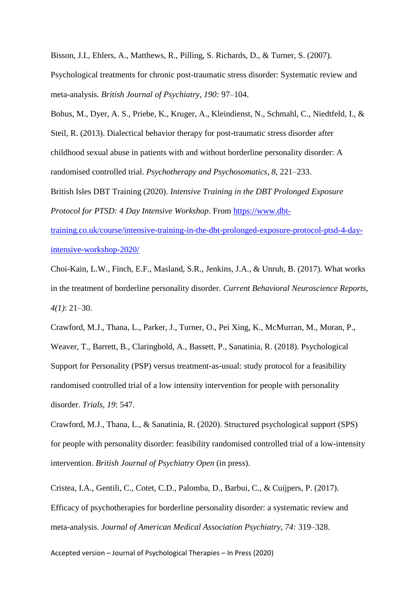Bisson, J.I., Ehlers, A., Matthews, R., Pilling, S. Richards, D., & Turner, S. (2007).

Psychological treatments for chronic post-traumatic stress disorder: Systematic review and meta-analysis. *British Journal of Psychiatry*, *190:* 97–104.

Bohus, M., Dyer, A. S., Priebe, K., Kruger, A., Kleindienst, N., Schmahl, C., Niedtfeld, I., & Steil, R. (2013). Dialectical behavior therapy for post-traumatic stress disorder after childhood sexual abuse in patients with and without borderline personality disorder: A randomised controlled trial. *Psychotherapy and Psychosomatics*, *8*, 221–233.

British Isles DBT Training (2020). *Intensive Training in the DBT Prolonged Exposure Protocol for PTSD: 4 Day Intensive Workshop*. From [https://www.dbt-](https://www.dbt-training.co.uk/course/intensive-training-in-the-dbt-prolonged-exposure-protocol-ptsd-4-day-intensive-workshop-2020/)

[training.co.uk/course/intensive-training-in-the-dbt-prolonged-exposure-protocol-ptsd-4-day](https://www.dbt-training.co.uk/course/intensive-training-in-the-dbt-prolonged-exposure-protocol-ptsd-4-day-intensive-workshop-2020/)[intensive-workshop-2020/](https://www.dbt-training.co.uk/course/intensive-training-in-the-dbt-prolonged-exposure-protocol-ptsd-4-day-intensive-workshop-2020/)

Choi-Kain, L.W., Finch, E.F., Masland, S.R., Jenkins, J.A., & Unruh, B. (2017). What works in the treatment of borderline personality disorder. *Current Behavioral Neuroscience Reports*, *4(1)*: 21–30.

Crawford, M.J., Thana, L., Parker, J., Turner, O., Pei Xing, K., McMurran, M., Moran, P., Weaver, T., Barrett, B., Claringbold, A., Bassett, P., Sanatinia, R. (2018). Psychological Support for Personality (PSP) versus treatment-as-usual: study protocol for a feasibility randomised controlled trial of a low intensity intervention for people with personality disorder. *Trials, 19*: 547.

Crawford, M.J., Thana, L., & Sanatinia, R. (2020). Structured psychological support (SPS) for people with personality disorder: feasibility randomised controlled trial of a low-intensity intervention. *British Journal of Psychiatry Open* (in press).

Cristea, I.A., Gentili, C., Cotet, C.D., Palomba, D., Barbui, C., & Cuijpers, P. (2017). Efficacy of psychotherapies for borderline personality disorder: a systematic review and meta-analysis. *Journal of American Medical Association Psychiatry, 74:* 319–328.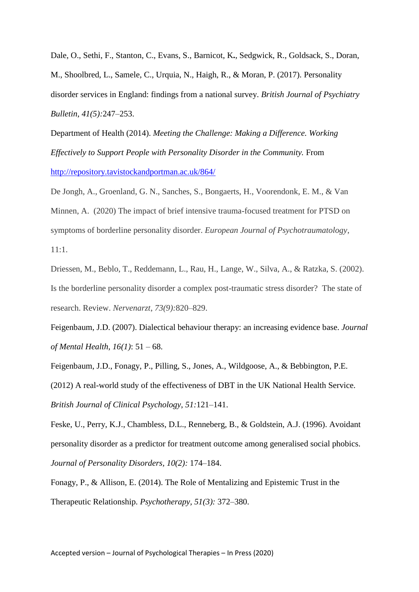Dale, O., Sethi, F., Stanton, C., Evans, S., Barnicot, K**.**, Sedgwick, R., Goldsack, S., Doran, M., Shoolbred, L., Samele, C., Urquia, N., Haigh, R., & Moran, P. (2017). Personality disorder services in England: findings from a national survey. *British Journal of Psychiatry Bulletin*, *41(5):*247–253.

Department of Health (2014). *Meeting the Challenge: Making a Difference. Working Effectively to Support People with Personality Disorder in the Community.* From <http://repository.tavistockandportman.ac.uk/864/>

De Jongh, A., Groenland, G. N., Sanches, S., Bongaerts, H., Voorendonk, E. M., & Van Minnen, A. (2020) The impact of brief intensive trauma-focused treatment for PTSD on symptoms of borderline personality disorder. *European Journal of Psychotraumatology*, 11:1.

Driessen, M., Beblo, T., Reddemann, L., Rau, H., Lange, W., Silva, A., & Ratzka, S. (2002). Is the borderline personality disorder a complex post-traumatic stress disorder? The state of research. Review. *Nervenarzt*, *73(9):*820–829.

Feigenbaum, J.D. (2007). Dialectical behaviour therapy: an increasing evidence base. *Journal of Mental Health, 16(1)*: 51 – 68.

Feigenbaum, J.D., Fonagy, P., Pilling, S., Jones, A., Wildgoose, A., & Bebbington, P.E. (2012) A real-world study of the effectiveness of DBT in the UK National Health Service. *British Journal of Clinical Psychology*, *51:*121–141.

Feske, U., Perry, K.J., Chambless, D.L., Renneberg, B., & Goldstein, A.J. (1996). Avoidant personality disorder as a predictor for treatment outcome among generalised social phobics. *Journal of Personality Disorders, 10(2):* 174–184.

Fonagy, P., & Allison, E. (2014). The Role of Mentalizing and Epistemic Trust in the Therapeutic Relationship. *Psychotherapy, 51(3):* 372–380.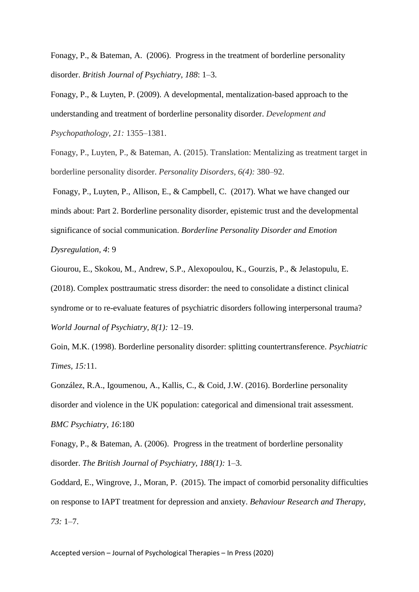Fonagy, P., & Bateman, A. (2006). Progress in the treatment of borderline personality disorder. *British Journal of Psychiatry*, *188*: 1–3.

Fonagy, P., & Luyten, P. (2009). A developmental, mentalization-based approach to the understanding and treatment of borderline personality disorder. *Development and Psychopathology, 21:* 1355–1381.

Fonagy, P., Luyten, P., & Bateman, A. (2015). Translation: Mentalizing as treatment target in borderline personality disorder. *Personality Disorders, 6(4):* 380–92.

Fonagy, P., Luyten, P., Allison, E., & Campbell, C. (2017). What we have changed our minds about: Part 2. Borderline personality disorder, epistemic trust and the developmental significance of social communication. *Borderline Personality Disorder and Emotion Dysregulation, 4*: 9

Giourou, E., Skokou, M., Andrew, S.P., Alexopoulou, K., Gourzis, P., & Jelastopulu, E. (2018). Complex posttraumatic stress disorder: the need to consolidate a distinct clinical syndrome or to re-evaluate features of psychiatric disorders following interpersonal trauma? *World Journal of Psychiatry, 8(1):* 12–19.

Goin, M.K. (1998). Borderline personality disorder: splitting countertransference. *Psychiatric Times, 15:*11.

González, R.A., Igoumenou, A., Kallis, C., & Coid, J.W. (2016). Borderline personality disorder and violence in the UK population: categorical and dimensional trait assessment. *BMC Psychiatry, 16*:180

Fonagy, P., & Bateman, A. (2006). Progress in the treatment of borderline personality disorder. *The British Journal of Psychiatry, 188(1):* 1–3.

Goddard, E., Wingrove, J., Moran, P. (2015). The impact of comorbid personality difficulties on response to IAPT treatment for depression and anxiety. *Behaviour Research and Therapy, 73:* 1–7.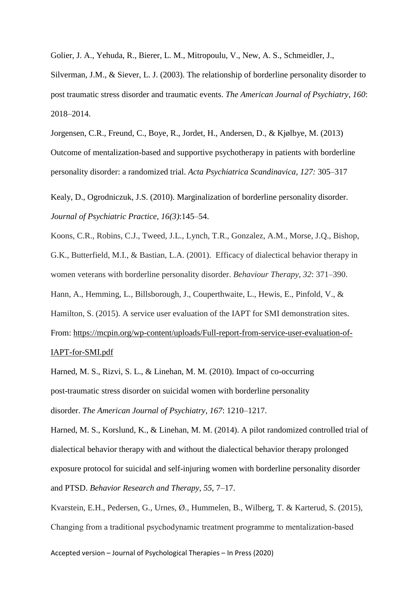Golier, J. A., Yehuda, R., Bierer, L. M., Mitropoulu, V., New, A. S., Schmeidler, J.,

Silverman, J.M., & Siever, L. J. (2003). The relationship of borderline personality disorder to post traumatic stress disorder and traumatic events. *The American Journal of Psychiatry*, *160*: 2018–2014.

Jorgensen, C.R., Freund, C., Boye, R., Jordet, H., Andersen, D., & Kjølbye, M. (2013) Outcome of mentalization-based and supportive psychotherapy in patients with borderline personality disorder: a randomized trial. *Acta Psychiatrica Scandinavica, 127:* 305–317

Kealy, D., Ogrodniczuk, J.S. (2010). Marginalization of borderline personality disorder. *Journal of Psychiatric Practice, 16(3)*:145–54.

Koons, C.R., Robins, C.J., Tweed, J.L., Lynch, T.R., Gonzalez, A.M., Morse, J.Q., Bishop, G.K., Butterfield, M.I., & Bastian, L.A. (2001). Efficacy of dialectical behavior therapy in women veterans with borderline personality disorder. *Behaviour Therapy, 32*: 371–390. Hann, A., Hemming, L., Billsborough, J., Couperthwaite, L., Hewis, E., Pinfold, V., & Hamilton, S. (2015). A service user evaluation of the IAPT for SMI demonstration sites.

From: [https://mcpin.org/wp-content/uploads/Full-report-from-service-user-evaluation-of-](https://mcpin.org/wp-content/uploads/Full-report-from-service-user-evaluation-of-IAPT-for-SMI.pdf)[IAPT-for-SMI.pdf](https://mcpin.org/wp-content/uploads/Full-report-from-service-user-evaluation-of-IAPT-for-SMI.pdf)

Harned, M. S., Rizvi, S. L., & Linehan, M. M. (2010). Impact of co-occurring post-traumatic stress disorder on suicidal women with borderline personality disorder. *The American Journal of Psychiatry*, *167*: 1210–1217.

Harned, M. S., Korslund, K., & Linehan, M. M. (2014). A pilot randomized controlled trial of dialectical behavior therapy with and without the dialectical behavior therapy prolonged exposure protocol for suicidal and self-injuring women with borderline personality disorder and PTSD. *Behavior Research and Therapy*, *55*, 7–17.

Kvarstein, E.H., Pedersen, G., Urnes, Ø., Hummelen, B., Wilberg, T. & Karterud, S. (2015), Changing from a traditional psychodynamic treatment programme to mentalization‐based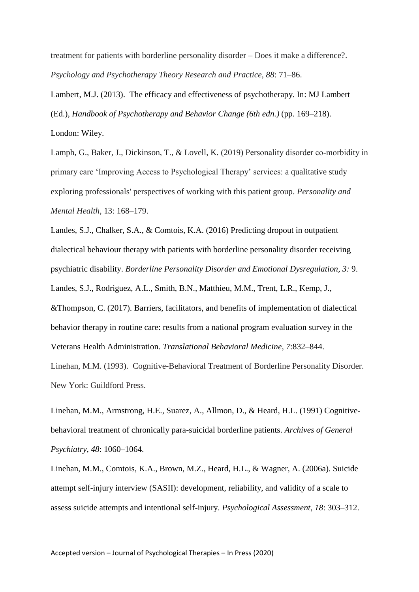treatment for patients with borderline personality disorder – Does it make a difference?. *Psychology and Psychotherapy Theory Research and Practice, 88*: 71–86.

Lambert, M.J. (2013). The efficacy and effectiveness of psychotherapy. In: MJ Lambert (Ed.), *Handbook of Psychotherapy and Behavior Change (6th edn.)* (pp. 169–218). London: Wiley.

Lamph, G., Baker, J., Dickinson, T., & Lovell, K. (2019) Personality disorder co-morbidity in primary care 'Improving Access to Psychological Therapy' services: a qualitative study exploring professionals' perspectives of working with this patient group. *Personality and Mental Health*, 13: 168–179.

Landes, S.J., Chalker, S.A., & Comtois, K.A. (2016) Predicting dropout in outpatient dialectical behaviour therapy with patients with borderline personality disorder receiving psychiatric disability. *Borderline Personality Disorder and Emotional Dysregulation, 3:* 9. Landes, S.J., Rodriguez, A.L., Smith, B.N., Matthieu, M.M., Trent, L.R., Kemp, J., &Thompson, C. (2017). Barriers, facilitators, and benefits of implementation of dialectical behavior therapy in routine care: results from a national program evaluation survey in the Veterans Health Administration. *Translational Behavioral Medicine, 7*:832–844.

Linehan, M.M. (1993). Cognitive-Behavioral Treatment of Borderline Personality Disorder. New York: Guildford Press.

Linehan, M.M., Armstrong, H.E., Suarez, A., Allmon, D., & Heard, H.L. (1991) Cognitivebehavioral treatment of chronically para-suicidal borderline patients. *Archives of General Psychiatry, 48*: 1060–1064.

Linehan, M.M., Comtois, K.A., Brown, M.Z., Heard, H.L., & Wagner, A. (2006a). Suicide attempt self-injury interview (SASII): development, reliability, and validity of a scale to assess suicide attempts and intentional self-injury. *Psychological Assessment, 18*: 303–312.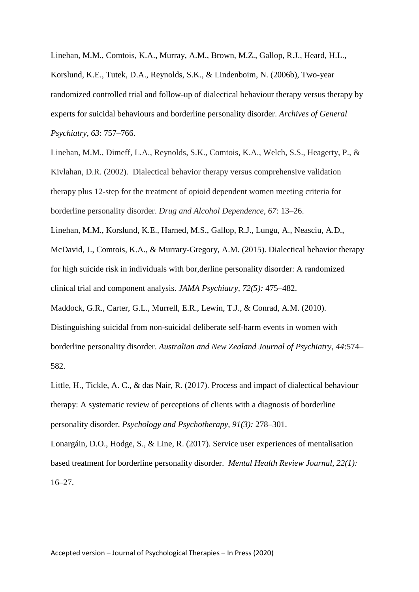Linehan, M.M., Comtois, K.A., Murray, A.M., Brown, M.Z., Gallop, R.J., Heard, H.L., Korslund, K.E., Tutek, D.A., Reynolds, S.K., & Lindenboim, N. (2006b), Two-year randomized controlled trial and follow-up of dialectical behaviour therapy versus therapy by experts for suicidal behaviours and borderline personality disorder. *Archives of General Psychiatry, 63*: 757–766.

Linehan, M.M., Dimeff, L.A., Reynolds, S.K., Comtois, K.A., Welch, S.S., Heagerty, P., & Kivlahan, D.R. (2002). Dialectical behavior therapy versus comprehensive validation therapy plus 12-step for the treatment of opioid dependent women meeting criteria for borderline personality disorder. *Drug and Alcohol Dependence, 67*: 13–26.

Linehan, M.M., Korslund, K.E., Harned, M.S., Gallop, R.J., Lungu, A., Neasciu, A.D., McDavid, J., Comtois, K.A., & Murrary-Gregory, A.M. (2015). Dialectical behavior therapy for high suicide risk in individuals with bor,derline personality disorder: A randomized clinical trial and component analysis. *JAMA Psychiatry, 72(5):* 475–482.

Maddock, G.R., Carter, G.L., Murrell, E.R., Lewin, T.J., & Conrad, A.M. (2010).

Distinguishing suicidal from non-suicidal deliberate self-harm events in women with borderline personality disorder. *Australian and New Zealand Journal of Psychiatry, 44*:574– 582.

Little, H., Tickle, A. C., & das Nair, R. (2017). Process and impact of dialectical behaviour therapy: A systematic review of perceptions of clients with a diagnosis of borderline personality disorder. *Psychology and Psychotherapy, 91(3):* 278–301.

Lonargáin, D.O., Hodge, S., & Line, R. (2017). Service user experiences of mentalisation based treatment for borderline personality disorder. *Mental Health Review Journal, 22(1):* 16–27.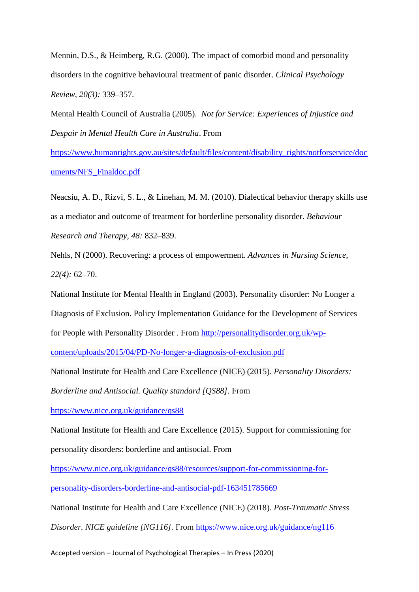Mennin, D.S., & Heimberg, R.G. (2000). The impact of comorbid mood and personality disorders in the cognitive behavioural treatment of panic disorder. *Clinical Psychology Review, 20(3):* 339–357.

Mental Health Council of Australia (2005). *Not for Service: Experiences of Injustice and Despair in Mental Health Care in Australia*. From

[https://www.humanrights.gov.au/sites/default/files/content/disability\\_rights/notforservice/doc](https://www.humanrights.gov.au/sites/default/files/content/disability_rights/notforservice/documents/NFS_Finaldoc.pdf) [uments/NFS\\_Finaldoc.pdf](https://www.humanrights.gov.au/sites/default/files/content/disability_rights/notforservice/documents/NFS_Finaldoc.pdf)

Neacsiu, A. D., Rizvi, S. L., & Linehan, M. M. (2010). Dialectical behavior therapy skills use as a mediator and outcome of treatment for borderline personality disorder. *Behaviour Research and Therapy, 48:* 832–839.

Nehls, N (2000). Recovering: a process of empowerment. *Advances in Nursing Science, 22(4):* 62–70.

National Institute for Mental Health in England (2003). Personality disorder: No Longer a Diagnosis of Exclusion. Policy Implementation Guidance for the Development of Services for People with Personality Disorder . From [http://personalitydisorder.org.uk/wp](http://personalitydisorder.org.uk/wp-content/uploads/2015/04/PD-No-longer-a-diagnosis-of-exclusion.pdf)[content/uploads/2015/04/PD-No-longer-a-diagnosis-of-exclusion.pdf](http://personalitydisorder.org.uk/wp-content/uploads/2015/04/PD-No-longer-a-diagnosis-of-exclusion.pdf)

National Institute for Health and Care Excellence (NICE) (2015). *Personality Disorders:* 

*Borderline and Antisocial. Quality standard [QS88].* From

<https://www.nice.org.uk/guidance/qs88>

National Institute for Health and Care Excellence (2015). Support for commissioning for personality disorders: borderline and antisocial. From

[https://www.nice.org.uk/guidance/qs88/resources/support-for-commissioning-for-](https://www.nice.org.uk/guidance/qs88/resources/support-for-commissioning-for-personality-disorders-borderline-and-antisocial-pdf-163451785669)

[personality-disorders-borderline-and-antisocial-pdf-163451785669](https://www.nice.org.uk/guidance/qs88/resources/support-for-commissioning-for-personality-disorders-borderline-and-antisocial-pdf-163451785669)

National Institute for Health and Care Excellence (NICE) (2018). *Post-Traumatic Stress* 

*Disorder. NICE guideline [NG116].* From<https://www.nice.org.uk/guidance/ng116>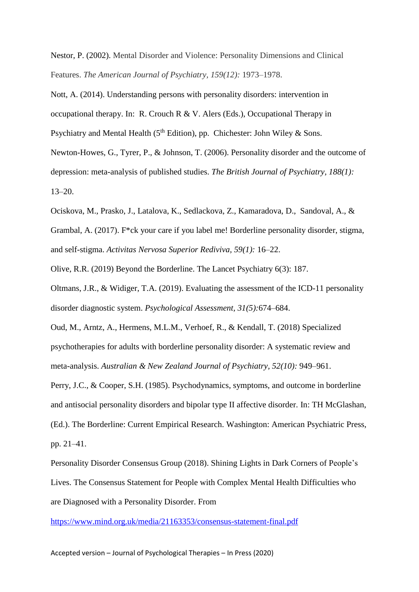Nestor, P. (2002). Mental Disorder and Violence: Personality Dimensions and Clinical Features. *The American Journal of Psychiatry, 159(12):* 1973–1978.

Nott, A. (2014). Understanding persons with personality disorders: intervention in occupational therapy. In: R. Crouch R & V. Alers (Eds.), Occupational Therapy in Psychiatry and Mental Health (5<sup>th</sup> Edition), pp. Chichester: John Wiley & Sons. Newton-Howes, G., Tyrer, P., & Johnson, T. (2006). Personality disorder and the outcome of depression: meta-analysis of published studies. *The British Journal of Psychiatry, 188(1):* 13–20.

Ociskova, M., Prasko, J., Latalova, K., Sedlackova, Z., Kamaradova, D., Sandoval, A., & Grambal, A. (2017). F\*ck your care if you label me! Borderline personality disorder, stigma, and self-stigma. *Activitas Nervosa Superior Rediviva, 59(1):* 16–22.

Olive, R.R. (2019) Beyond the Borderline. The Lancet Psychiatry 6(3): 187.

Oltmans, J.R., & Widiger, T.A. (2019). Evaluating the assessment of the ICD-11 personality disorder diagnostic system. *Psychological Assessment, 31(5):*674–684.

Oud, M., Arntz, A., Hermens, M.L.M., Verhoef, R., & Kendall, T. (2018) Specialized psychotherapies for adults with borderline personality disorder: A systematic review and meta-analysis. *Australian & New Zealand Journal of Psychiatry, 52(10):* 949–961.

Perry, J.C., & Cooper, S.H. (1985). Psychodynamics, symptoms, and outcome in borderline and antisocial personality disorders and bipolar type II affective disorder. In: TH McGlashan, (Ed.). The Borderline: Current Empirical Research. Washington: American Psychiatric Press, pp. 21–41.

Personality Disorder Consensus Group (2018). Shining Lights in Dark Corners of People's Lives. The Consensus Statement for People with Complex Mental Health Difficulties who are Diagnosed with a Personality Disorder. From

<https://www.mind.org.uk/media/21163353/consensus-statement-final.pdf>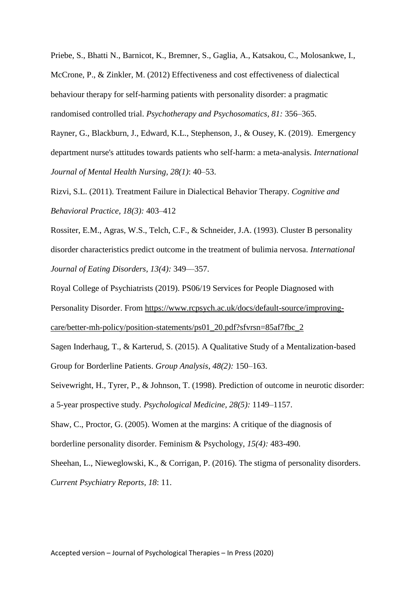Priebe, S., Bhatti N., Barnicot, K., Bremner, S., Gaglia, A., Katsakou, C., Molosankwe, I., McCrone, P., & Zinkler, M. (2012) Effectiveness and cost effectiveness of dialectical behaviour therapy for self-harming patients with personality disorder: a pragmatic randomised controlled trial. *Psychotherapy and Psychosomatics, 81:* 356–365.

Rayner, G., Blackburn, J., Edward, K.L., Stephenson, J., & Ousey, K. (2019). Emergency department nurse's attitudes towards patients who self-harm: a meta-analysis. *International Journal of Mental Health Nursing, 28(1)*: 40–53.

Rizvi, S.L. (2011). Treatment Failure in Dialectical Behavior Therapy. *Cognitive and Behavioral Practice, 18(3):* 403–412

Rossiter, E.M., Agras, W.S., Telch, C.F., & Schneider, J.A. (1993). Cluster B personality disorder characteristics predict outcome in the treatment of bulimia nervosa. *International Journal of Eating Disorders, 13(4):* 349––357.

Royal College of Psychiatrists (2019). PS06/19 Services for People Diagnosed with Personality Disorder. From [https://www.rcpsych.ac.uk/docs/default-source/improving](https://www.rcpsych.ac.uk/docs/default-source/improving-care/better-mh-policy/position-statements/ps01_20.pdf?sfvrsn=85af7fbc_2)[care/better-mh-policy/position-statements/ps01\\_20.pdf?sfvrsn=85af7fbc\\_2](https://www.rcpsych.ac.uk/docs/default-source/improving-care/better-mh-policy/position-statements/ps01_20.pdf?sfvrsn=85af7fbc_2)

Sagen Inderhaug, T., & Karterud, S. (2015). A Qualitative Study of a Mentalization-based Group for Borderline Patients. *Group Analysis*, *48(2):* 150–163.

Seivewright, H., Tyrer, P., & Johnson, T. (1998). Prediction of outcome in neurotic disorder: a 5-year prospective study. *Psychological Medicine, 28(5):* 1149–1157.

Shaw, C., Proctor, G. (2005). Women at the margins: A critique of the diagnosis of borderline personality disorder. Feminism & Psychology, *15(4):* 483-490.

Sheehan, L., Nieweglowski, K., & Corrigan, P. (2016). The stigma of personality disorders. *Current Psychiatry Reports, 18*: 11.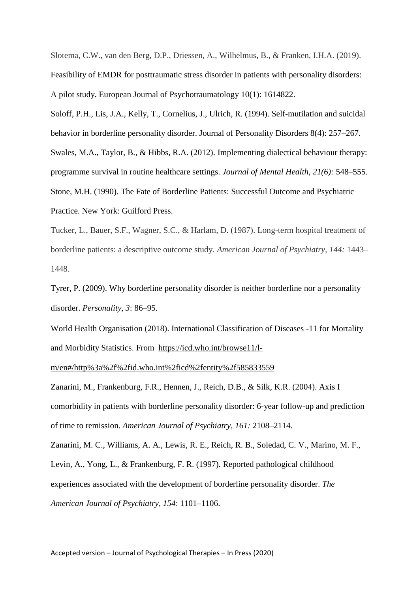Slotema, C.W., van den Berg, D.P., Driessen, A., Wilhelmus, B., & Franken, I.H.A. (2019). Feasibility of EMDR for posttraumatic stress disorder in patients with personality disorders: A pilot study. European Journal of Psychotraumatology 10(1): 1614822.

Soloff, P.H., Lis, J.A., Kelly, T., Cornelius, J., Ulrich, R. (1994). Self-mutilation and suicidal behavior in borderline personality disorder. Journal of Personality Disorders 8(4): 257–267. Swales, M.A., Taylor, B., & Hibbs, R.A. (2012). Implementing dialectical behaviour therapy: programme survival in routine healthcare settings. *Journal of Mental Health, 21(6):* 548–555. Stone, M.H. (1990). The Fate of Borderline Patients: Successful Outcome and Psychiatric Practice. New York: Guilford Press.

Tucker, L., Bauer, S.F., Wagner, S.C., & Harlam, D. (1987). Long-term hospital treatment of borderline patients: a descriptive outcome study. *American Journal of Psychiatry, 144:* 1443– 1448.

Tyrer, P. (2009). Why borderline personality disorder is neither borderline nor a personality disorder. *Personality, 3*: 86–95.

World Health Organisation (2018). International Classification of Diseases -11 for Mortality and Morbidity Statistics. From [https://icd.who.int/browse11/l-](https://icd.who.int/browse11/l-m/en#/http%3a%2f%2fid.who.int%2ficd%2fentity%2f585833559)

[m/en#/http%3a%2f%2fid.who.int%2ficd%2fentity%2f585833559](https://icd.who.int/browse11/l-m/en#/http%3a%2f%2fid.who.int%2ficd%2fentity%2f585833559)

Zanarini, M., Frankenburg, F.R., Hennen, J., Reich, D.B., & Silk, K.R. (2004). Axis I comorbidity in patients with borderline personality disorder: 6-year follow-up and prediction of time to remission. *American Journal of Psychiatry, 161:* 2108–2114.

Zanarini, M. C., Williams, A. A., Lewis, R. E., Reich, R. B., Soledad, C. V., Marino, M. F., Levin, A., Yong, L., & Frankenburg, F. R. (1997). Reported pathological childhood experiences associated with the development of borderline personality disorder. *The American Journal of Psychiatry*, *154*: 1101–1106.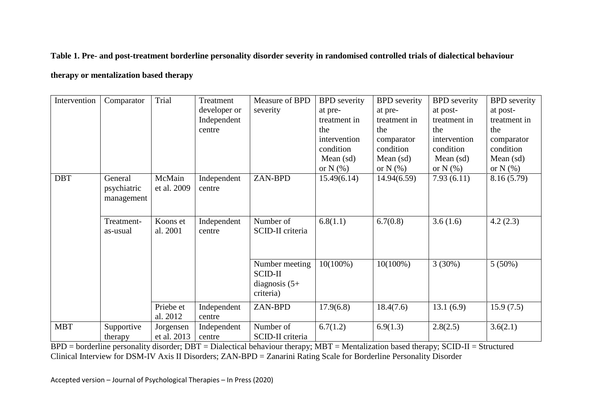#### **Table 1. Pre- and post-treatment borderline personality disorder severity in randomised controlled trials of dialectical behaviour**

#### **therapy or mentalization based therapy**

| Intervention | Comparator  | Trial       | Treatment    | Measure of BPD   | <b>BPD</b> severity | <b>BPD</b> severity | <b>BPD</b> severity | <b>BPD</b> severity |
|--------------|-------------|-------------|--------------|------------------|---------------------|---------------------|---------------------|---------------------|
|              |             |             | developer or | severity         | at pre-             | at pre-             | at post-            | at post-            |
|              |             |             | Independent  |                  | treatment in        | treatment in        | treatment in        | treatment in        |
|              |             |             | centre       |                  | the                 | the                 | the                 | the                 |
|              |             |             |              |                  | intervention        | comparator          | intervention        | comparator          |
|              |             |             |              |                  | condition           | condition           | condition           | condition           |
|              |             |             |              |                  | Mean $(sd)$         | Mean $(sd)$         | Mean $(sd)$         | Mean $(sd)$         |
|              |             |             |              |                  | or $N(\%)$          | or $N(\%)$          | or $N(\%)$          | or $N(\%)$          |
| <b>DBT</b>   | General     | McMain      | Independent  | ZAN-BPD          | 15.49(6.14)         | 14.94(6.59)         | 7.93(6.11)          | 8.16(5.79)          |
|              | psychiatric | et al. 2009 | centre       |                  |                     |                     |                     |                     |
|              | management  |             |              |                  |                     |                     |                     |                     |
|              |             |             |              |                  |                     |                     |                     |                     |
|              | Treatment-  | Koons et    | Independent  | Number of        | 6.8(1.1)            | 6.7(0.8)            | 3.6(1.6)            | 4.2(2.3)            |
|              | as-usual    | al. 2001    | centre       | SCID-II criteria |                     |                     |                     |                     |
|              |             |             |              |                  |                     |                     |                     |                     |
|              |             |             |              |                  |                     |                     |                     |                     |
|              |             |             |              | Number meeting   | $10(100\%)$         | $10(100\%)$         | 3(30%)              | $5(50\%)$           |
|              |             |             |              | <b>SCID-II</b>   |                     |                     |                     |                     |
|              |             |             |              | diagnosis $(5+)$ |                     |                     |                     |                     |
|              |             |             |              | criteria)        |                     |                     |                     |                     |
|              |             |             |              |                  |                     |                     |                     |                     |
|              |             | Priebe et   | Independent  | ZAN-BPD          | 17.9(6.8)           | 18.4(7.6)           | 13.1(6.9)           | 15.9(7.5)           |
|              |             | al. 2012    | centre       |                  |                     |                     |                     |                     |
| <b>MBT</b>   | Supportive  | Jorgensen   | Independent  | Number of        | 6.7(1.2)            | 6.9(1.3)            | 2.8(2.5)            | 3.6(2.1)            |
|              | therapy     | et al. 2013 | centre       | SCID-II criteria |                     |                     |                     |                     |

 $\overline{BPD}$  = borderline personality disorder;  $\overline{DBT}$  = Dialectical behaviour therapy;  $\overline{MBT}$  = Mentalization based therapy; SCID-II = Structured Clinical Interview for DSM-IV Axis II Disorders; ZAN-BPD = Zanarini Rating Scale for Borderline Personality Disorder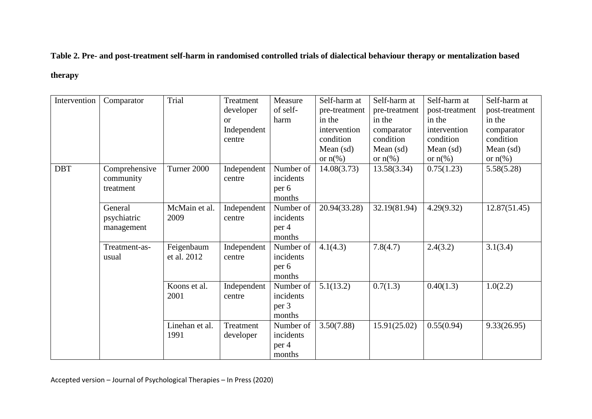**Table 2. Pre- and post-treatment self-harm in randomised controlled trials of dialectical behaviour therapy or mentalization based** 

#### **therapy**

| Intervention | Comparator    | Trial          | Treatment     | Measure   | Self-harm at      | Self-harm at      | Self-harm at      | Self-harm at      |
|--------------|---------------|----------------|---------------|-----------|-------------------|-------------------|-------------------|-------------------|
|              |               |                | developer     | of self-  | pre-treatment     | pre-treatment     | post-treatment    | post-treatment    |
|              |               |                | <sub>or</sub> | harm      | in the            | in the            | in the            | in the            |
|              |               |                | Independent   |           | intervention      | comparator        | intervention      | comparator        |
|              |               |                | centre        |           | condition         | condition         | condition         | condition         |
|              |               |                |               |           | Mean $(sd)$       | Mean $(sd)$       | Mean $(sd)$       | Mean (sd)         |
|              |               |                |               |           | or $n\frac{6}{6}$ | or $n\frac{6}{6}$ | or $n\frac{6}{6}$ | or $n\frac{6}{6}$ |
| <b>DBT</b>   | Comprehensive | Turner 2000    | Independent   | Number of | 14.08(3.73)       | 13.58(3.34)       | 0.75(1.23)        | 5.58(5.28)        |
|              | community     |                | centre        | incidents |                   |                   |                   |                   |
|              | treatment     |                |               | per 6     |                   |                   |                   |                   |
|              |               |                |               | months    |                   |                   |                   |                   |
|              | General       | McMain et al.  | Independent   | Number of | 20.94(33.28)      | 32.19(81.94)      | 4.29(9.32)        | 12.87(51.45)      |
|              | psychiatric   | 2009           | centre        | incidents |                   |                   |                   |                   |
|              | management    |                |               | per 4     |                   |                   |                   |                   |
|              |               |                |               | months    |                   |                   |                   |                   |
|              | Treatment-as- | Feigenbaum     | Independent   | Number of | 4.1(4.3)          | 7.8(4.7)          | 2.4(3.2)          | 3.1(3.4)          |
|              | usual         | et al. 2012    | centre        | incidents |                   |                   |                   |                   |
|              |               |                |               | per 6     |                   |                   |                   |                   |
|              |               |                |               | months    |                   |                   |                   |                   |
|              |               | Koons et al.   | Independent   | Number of | 5.1(13.2)         | 0.7(1.3)          | 0.40(1.3)         | 1.0(2.2)          |
|              |               | 2001           | centre        | incidents |                   |                   |                   |                   |
|              |               |                |               | per 3     |                   |                   |                   |                   |
|              |               |                |               | months    |                   |                   |                   |                   |
|              |               | Linehan et al. | Treatment     | Number of | 3.50(7.88)        | 15.91(25.02)      | 0.55(0.94)        | 9.33(26.95)       |
|              |               | 1991           | developer     | incidents |                   |                   |                   |                   |
|              |               |                |               | per 4     |                   |                   |                   |                   |
|              |               |                |               | months    |                   |                   |                   |                   |